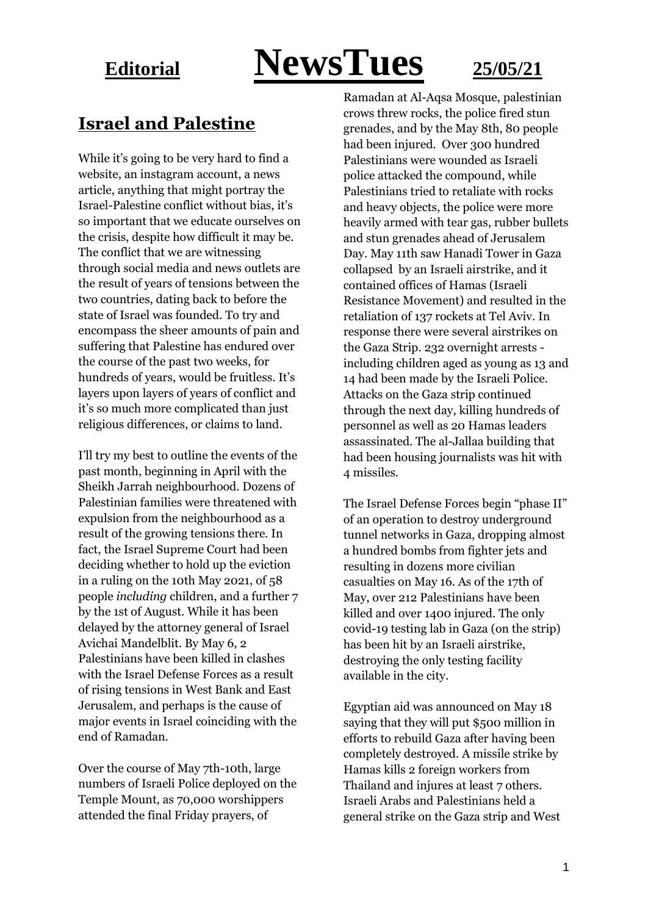# **Editorial NewsTues 25/05/21**

### **Israel and Palestine**

While it's going to be very hard to find a website, an instagram account, a news article, anything that might portray the Israel-Palestine conflict without bias, it's so important that we educate ourselves on the crisis, despite how difficult it may be. The conflict that we are witnessing through social media and news outlets are the result of years of tensions between the two countries, dating back to before the state of Israel was founded. To try and encompass the sheer amounts of pain and suffering that Palestine has endured over the course of the past two weeks, for hundreds of years, would be fruitless. It's layers upon layers of years of conflict and it's so much more complicated than just religious differences, or claims to land.

I'll try my best to outline the events of the past month, beginning in April with the Sheikh Jarrah neighbourhood. Dozens of Palestinian families were threatened with expulsion from the neighbourhood as a result of the growing tensions there. In fact, the Israel Supreme Court had been deciding whether to hold up the eviction in a ruling on the 10th May 2021, of 58 people *including* children, and a further 7 by the 1st of August. While it has been delayed by the attorney general of Israel Avichai Mandelblit. By May 6, 2 Palestinians have been killed in clashes with the Israel Defense Forces as a result of rising tensions in West Bank and East Jerusalem, and perhaps is the cause of major events in Israel coinciding with the end of Ramadan.

Over the course of May 7th-10th, large numbers of Israeli Police deployed on the Temple Mount, as 70,000 worshippers attended the final Friday prayers, of

Ramadan at Al-Aqsa Mosque, palestinian crows threw rocks, the police fired stun grenades, and by the May 8th, 80 people had been injured. Over 300 hundred Palestinians were wounded as Israeli police attacked the compound, while Palestinians tried to retaliate with rocks and heavy objects, the police were more heavily armed with tear gas, rubber bullets and stun grenades ahead of Jerusalem Day. May 11th saw Hanadi Tower in Gaza collapsed by an Israeli airstrike, and it contained offices of Hamas (Israeli Resistance Movement) and resulted in the retaliation of 137 rockets at Tel Aviv. In response there were several airstrikes on the Gaza Strip. 232 overnight arrests including children aged as young as 13 and 14 had been made by the Israeli Police. Attacks on the Gaza strip continued through the next day, killing hundreds of personnel as well as 20 Hamas leaders assassinated. The al-Jallaa building that had been housing journalists was hit with 4 missiles.

The Israel Defense Forces begin "phase II" of an operation to destroy underground tunnel networks in Gaza, dropping almost a hundred bombs from fighter jets and resulting in dozens more civilian casualties on May 16. As of the 17th of May, over 212 Palestinians have been killed and over 1400 injured. The only covid-19 testing lab in Gaza (on the strip) has been hit by an Israeli airstrike, destroying the only testing facility available in the city.

Egyptian aid was announced on May 18 saying that they will put \$500 million in efforts to rebuild Gaza after having been completely destroyed. A missile strike by Hamas kills 2 foreign workers from Thailand and injures at least 7 others. Israeli Arabs and Palestinians held a general strike on the Gaza strip and West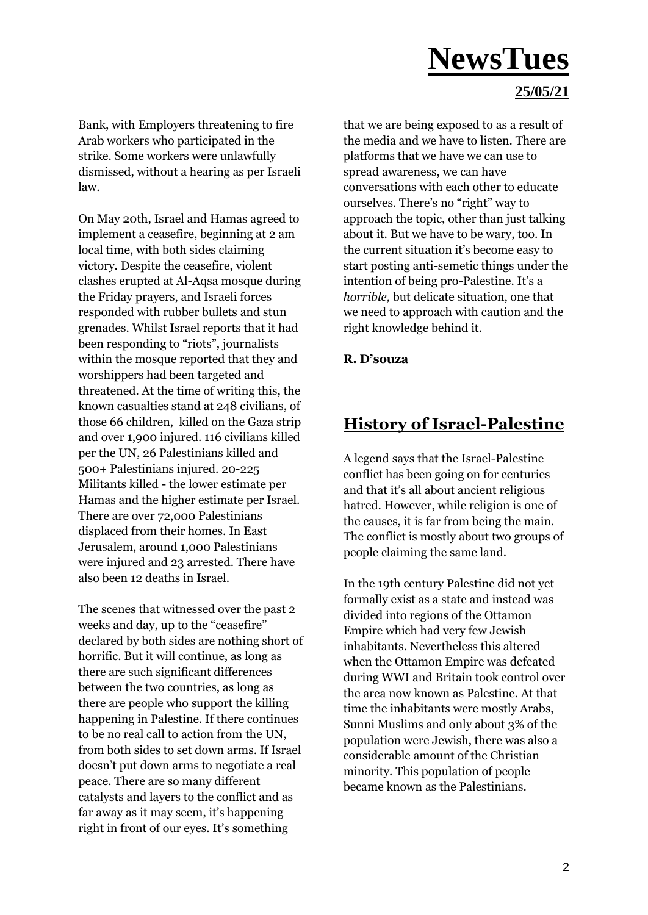#### **25/05/21**

Bank, with Employers threatening to fire Arab workers who participated in the strike. Some workers were unlawfully dismissed, without a hearing as per Israeli law.

On May 20th, Israel and Hamas agreed to implement a ceasefire, beginning at 2 am local time, with both sides claiming victory. Despite the ceasefire, violent clashes erupted at Al-Aqsa mosque during the Friday prayers, and Israeli forces responded with rubber bullets and stun grenades. Whilst Israel reports that it had been responding to "riots", journalists within the mosque reported that they and worshippers had been targeted and threatened. At the time of writing this, the known casualties stand at 248 civilians, of those 66 children, killed on the Gaza strip and over 1,900 injured. 116 civilians killed per the UN, 26 Palestinians killed and 500+ Palestinians injured. 20-225 Militants killed - the lower estimate per Hamas and the higher estimate per Israel. There are over 72,000 Palestinians displaced from their homes. In East Jerusalem, around 1,000 Palestinians were injured and 23 arrested. There have also been 12 deaths in Israel.

The scenes that witnessed over the past 2 weeks and day, up to the "ceasefire" declared by both sides are nothing short of horrific. But it will continue, as long as there are such significant differences between the two countries, as long as there are people who support the killing happening in Palestine. If there continues to be no real call to action from the UN, from both sides to set down arms. If Israel doesn't put down arms to negotiate a real peace. There are so many different catalysts and layers to the conflict and as far away as it may seem, it's happening right in front of our eyes. It's something

that we are being exposed to as a result of the media and we have to listen. There are platforms that we have we can use to spread awareness, we can have conversations with each other to educate ourselves. There's no "right" way to approach the topic, other than just talking about it. But we have to be wary, too. In the current situation it's become easy to start posting anti-semetic things under the intention of being pro-Palestine. It's a *horrible,* but delicate situation, one that we need to approach with caution and the right knowledge behind it.

#### **R. D'souza**

#### **History of Israel-Palestine**

A legend says that the Israel-Palestine conflict has been going on for centuries and that it's all about ancient religious hatred. However, while religion is one of the causes, it is far from being the main. The conflict is mostly about two groups of people claiming the same land.

In the 19th century Palestine did not yet formally exist as a state and instead was divided into regions of the Ottamon Empire which had very few Jewish inhabitants. Nevertheless this altered when the Ottamon Empire was defeated during WWI and Britain took control over the area now known as Palestine. At that time the inhabitants were mostly Arabs, Sunni Muslims and only about 3% of the population were Jewish, there was also a considerable amount of the Christian minority. This population of people became known as the Palestinians.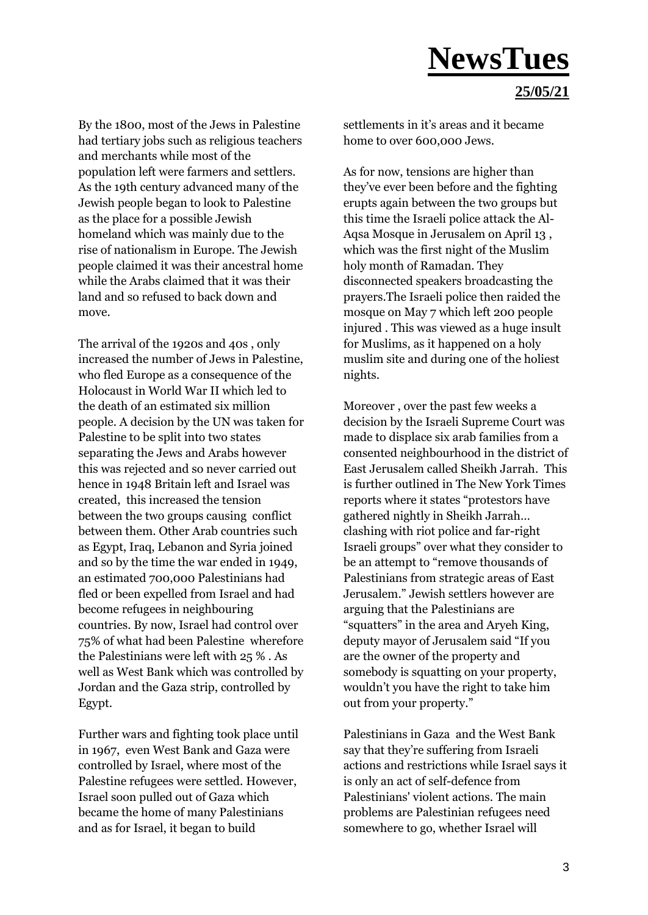#### **25/05/21**

By the 1800, most of the Jews in Palestine had tertiary jobs such as religious teachers and merchants while most of the population left were farmers and settlers. As the 19th century advanced many of the Jewish people began to look to Palestine as the place for a possible Jewish homeland which was mainly due to the rise of nationalism in Europe. The Jewish people claimed it was their ancestral home while the Arabs claimed that it was their land and so refused to back down and move.

The arrival of the 1920s and 40s , only increased the number of Jews in Palestine, who fled Europe as a consequence of the Holocaust in World War II which led to the death of an estimated six million people. A decision by the UN was taken for Palestine to be split into two states separating the Jews and Arabs however this was rejected and so never carried out hence in 1948 Britain left and Israel was created, this increased the tension between the two groups causing conflict between them. Other Arab countries such as Egypt, Iraq, Lebanon and Syria joined and so by the time the war ended in 1949, an estimated 700,000 Palestinians had fled or been expelled from Israel and had become refugees in neighbouring countries. By now, Israel had control over 75% of what had been Palestine wherefore the Palestinians were left with 25 % . As well as West Bank which was controlled by Jordan and the Gaza strip, controlled by Egypt.

Further wars and fighting took place until in 1967, even West Bank and Gaza were controlled by Israel, where most of the Palestine refugees were settled. However, Israel soon pulled out of Gaza which became the home of many Palestinians and as for Israel, it began to build

settlements in it's areas and it became home to over 600,000 Jews.

As for now, tensions are higher than they've ever been before and the fighting erupts again between the two groups but this time the Israeli police attack the Al-Aqsa Mosque in Jerusalem on April 13 , which was the first night of the Muslim holy month of Ramadan. They disconnected speakers broadcasting the prayers.The Israeli police then raided the mosque on May 7 which left 200 people injured . This was viewed as a huge insult for Muslims, as it happened on a holy muslim site and during one of the holiest nights.

Moreover , over the past few weeks a decision by the Israeli Supreme Court was made to displace six arab families from a consented neighbourhood in the district of East Jerusalem called Sheikh Jarrah. This is further outlined in The New York Times reports where it states "protestors have gathered nightly in Sheikh Jarrah… clashing with riot police and far-right Israeli groups" over what they consider to be an attempt to "remove thousands of Palestinians from strategic areas of East Jerusalem." Jewish settlers however are arguing that the Palestinians are "squatters" in the area and Aryeh King, deputy mayor of Jerusalem said "If you are the owner of the property and somebody is squatting on your property, wouldn't you have the right to take him out from your property."

Palestinians in Gaza and the West Bank say that they're suffering from Israeli actions and restrictions while Israel says it is only an act of self-defence from Palestinians' violent actions. The main problems are Palestinian refugees need somewhere to go, whether Israel will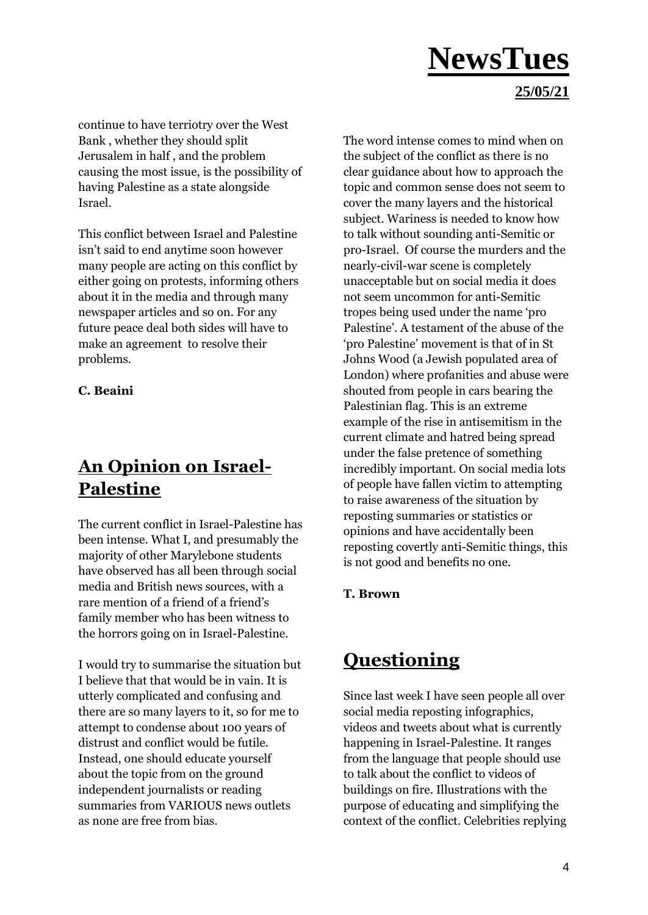#### **25/05/21**

continue to have terriotry over the West Bank , whether they should split Jerusalem in half , and the problem causing the most issue, is the possibility of having Palestine as a state alongside Israel.

This conflict between Israel and Palestine isn't said to end anytime soon however many people are acting on this conflict by either going on protests, informing others about it in the media and through many newspaper articles and so on. For any future peace deal both sides will have to make an agreement to resolve their problems.

#### **C. Beaini**

### **An Opinion on Israel-Palestine**

The current conflict in Israel-Palestine has been intense. What I, and presumably the majority of other Marylebone students have observed has all been through social media and British news sources, with a rare mention of a friend of a friend's family member who has been witness to the horrors going on in Israel-Palestine.

I would try to summarise the situation but I believe that that would be in vain. It is utterly complicated and confusing and there are so many layers to it, so for me to attempt to condense about 100 years of distrust and conflict would be futile. Instead, one should educate yourself about the topic from on the ground independent journalists or reading summaries from VARIOUS news outlets as none are free from bias.

The word intense comes to mind when on the subject of the conflict as there is no clear guidance about how to approach the topic and common sense does not seem to cover the many layers and the historical subject. Wariness is needed to know how to talk without sounding anti-Semitic or pro-Israel. Of course the murders and the nearly-civil-war scene is completely unacceptable but on social media it does not seem uncommon for anti-Semitic tropes being used under the name 'pro Palestine'. A testament of the abuse of the 'pro Palestine' movement is that of in St Johns Wood (a Jewish populated area of London) where profanities and abuse were shouted from people in cars bearing the Palestinian flag. This is an extreme example of the rise in antisemitism in the current climate and hatred being spread under the false pretence of something incredibly important. On social media lots of people have fallen victim to attempting to raise awareness of the situation by reposting summaries or statistics or opinions and have accidentally been reposting covertly anti-Semitic things, this is not good and benefits no one.

#### **T. Brown**

### **Questioning**

Since last week I have seen people all over social media reposting infographics, videos and tweets about what is currently happening in Israel-Palestine. It ranges from the language that people should use to talk about the conflict to videos of buildings on fire. Illustrations with the purpose of educating and simplifying the context of the conflict. Celebrities replying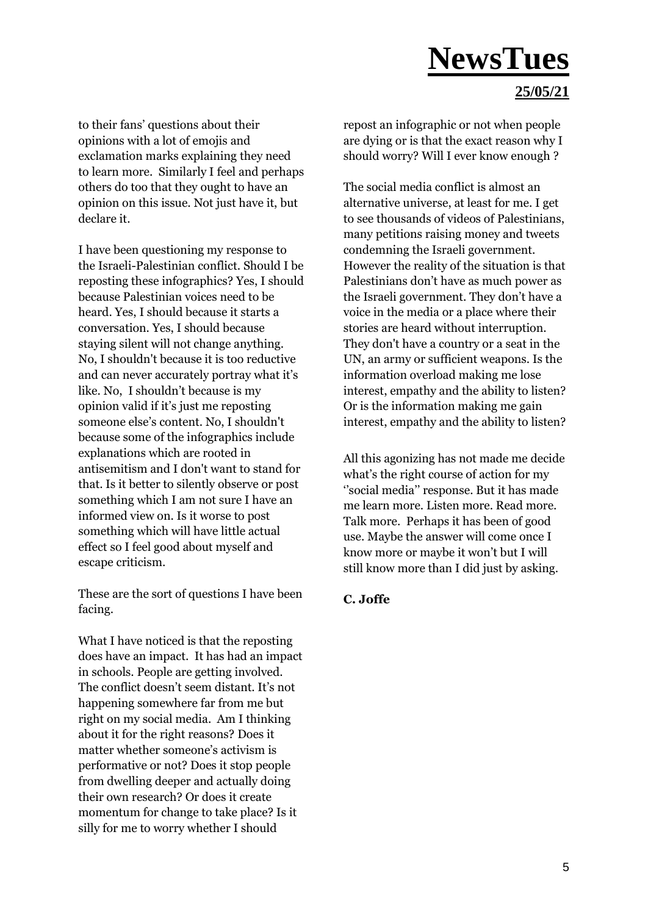#### **25/05/21**

to their fans' questions about their opinions with a lot of emojis and exclamation marks explaining they need to learn more. Similarly I feel and perhaps others do too that they ought to have an opinion on this issue. Not just have it, but declare it.

I have been questioning my response to the Israeli-Palestinian conflict. Should I be reposting these infographics? Yes, I should because Palestinian voices need to be heard. Yes, I should because it starts a conversation. Yes, I should because staying silent will not change anything. No, I shouldn't because it is too reductive and can never accurately portray what it's like. No, I shouldn't because is my opinion valid if it's just me reposting someone else's content. No, I shouldn't because some of the infographics include explanations which are rooted in antisemitism and I don't want to stand for that. Is it better to silently observe or post something which I am not sure I have an informed view on. Is it worse to post something which will have little actual effect so I feel good about myself and escape criticism.

These are the sort of questions I have been facing.

What I have noticed is that the reposting does have an impact. It has had an impact in schools. People are getting involved. The conflict doesn't seem distant. It's not happening somewhere far from me but right on my social media. Am I thinking about it for the right reasons? Does it matter whether someone's activism is performative or not? Does it stop people from dwelling deeper and actually doing their own research? Or does it create momentum for change to take place? Is it silly for me to worry whether I should

repost an infographic or not when people are dying or is that the exact reason why I should worry? Will I ever know enough ?

The social media conflict is almost an alternative universe, at least for me. I get to see thousands of videos of Palestinians, many petitions raising money and tweets condemning the Israeli government. However the reality of the situation is that Palestinians don't have as much power as the Israeli government. They don't have a voice in the media or a place where their stories are heard without interruption. They don't have a country or a seat in the UN, an army or sufficient weapons. Is the information overload making me lose interest, empathy and the ability to listen? Or is the information making me gain interest, empathy and the ability to listen?

All this agonizing has not made me decide what's the right course of action for my ''social media'' response. But it has made me learn more. Listen more. Read more. Talk more. Perhaps it has been of good use. Maybe the answer will come once I know more or maybe it won't but I will still know more than I did just by asking.

#### **C. Joffe**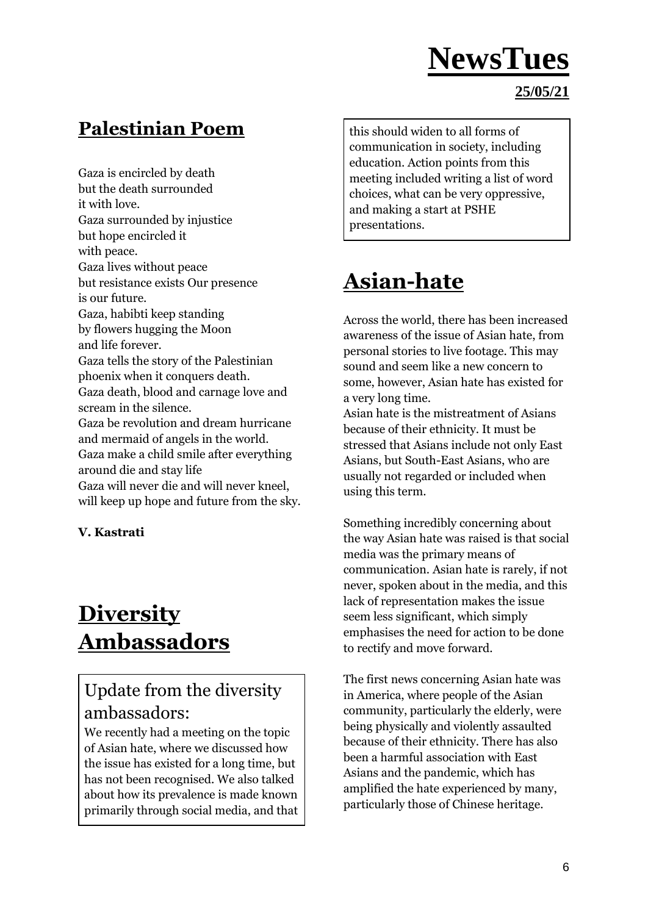### **Palestinian Poem**

Gaza is encircled by death but the death surrounded it with love. Gaza surrounded by injustice but hope encircled it with peace. Gaza lives without peace but resistance exists Our presence is our future. Gaza, habibti keep standing by flowers hugging the Moon and life forever. Gaza tells the story of the Palestinian phoenix when it conquers death. Gaza death, blood and carnage love and scream in the silence. Gaza be revolution and dream hurricane and mermaid of angels in the world. Gaza make a child smile after everything around die and stay life Gaza will never die and will never kneel, will keep up hope and future from the sky.

**V. Kastrati**

### **Diversity Ambassadors**

### Update from the diversity ambassadors:

We recently had a meeting on the topic of Asian hate, where we discussed how the issue has existed for a long time, but has not been recognised. We also talked about how its prevalence is made known primarily through social media, and that

this should widen to all forms of communication in society, including education. Action points from this meeting included writing a list of word choices, what can be very oppressive, and making a start at PSHE presentations.

## **Asian-hate**

Across the world, there has been increased awareness of the issue of Asian hate, from personal stories to live footage. This may sound and seem like a new concern to some, however, Asian hate has existed for a very long time.

Asian hate is the mistreatment of Asians because of their ethnicity. It must be stressed that Asians include not only East Asians, but South-East Asians, who are usually not regarded or included when using this term.

Something incredibly concerning about the way Asian hate was raised is that social media was the primary means of communication. Asian hate is rarely, if not never, spoken about in the media, and this lack of representation makes the issue seem less significant, which simply emphasises the need for action to be done to rectify and move forward.

The first news concerning Asian hate was in America, where people of the Asian community, particularly the elderly, were being physically and violently assaulted because of their ethnicity. There has also been a harmful association with East Asians and the pandemic, which has amplified the hate experienced by many, particularly those of Chinese heritage.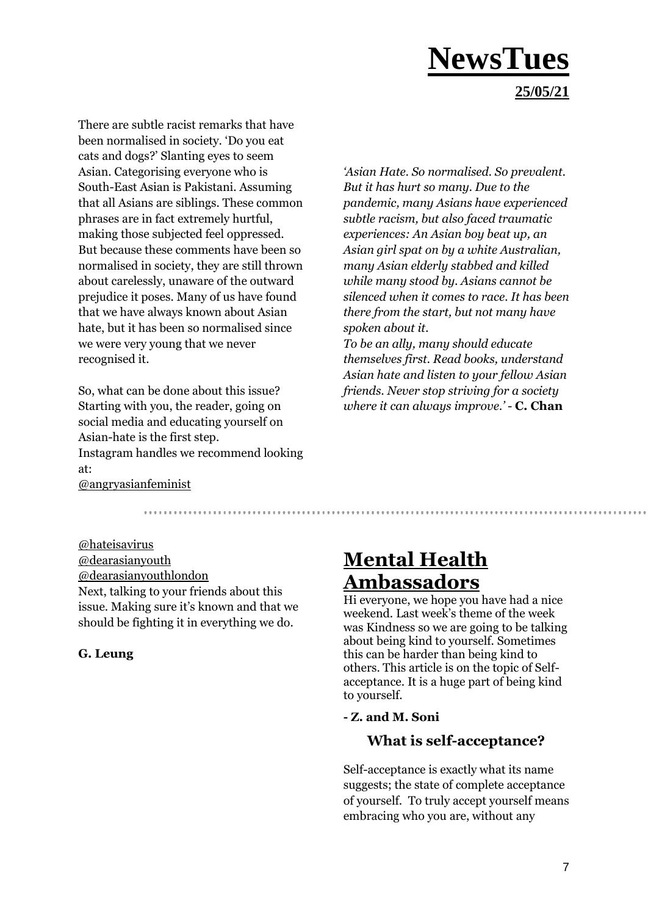### **NewsTues 25/05/21**

There are subtle racist remarks that have been normalised in society. 'Do you eat cats and dogs?' Slanting eyes to seem Asian. Categorising everyone who is South-East Asian is Pakistani. Assuming that all Asians are siblings. These common phrases are in fact extremely hurtful, making those subjected feel oppressed. But because these comments have been so normalised in society, they are still thrown about carelessly, unaware of the outward prejudice it poses. Many of us have found that we have always known about Asian hate, but it has been so normalised since we were very young that we never recognised it.

So, what can be done about this issue? Starting with you, the reader, going on social media and educating yourself on Asian-hate is the first step. Instagram handles we recommend looking at:

*'Asian Hate. So normalised. So prevalent. But it has hurt so many. Due to the pandemic, many Asians have experienced subtle racism, but also faced traumatic experiences: An Asian boy beat up, an Asian girl spat on by a white Australian, many Asian elderly stabbed and killed while many stood by. Asians cannot be silenced when it comes to race. It has been there from the start, but not many have spoken about it.*

*To be an ally, many should educate themselves first. Read books, understand Asian hate and listen to your fellow Asian friends. Never stop striving for a society where it can always improve.'* - **C. Chan** 

@angryasianfeminist

@hateisavirus @dearasianyouth @dearasianyouthlondon Next, talking to your friends about this issue. Making sure it's known and that we should be fighting it in everything we do.

#### **G. Leung**

### **Mental Health Ambassadors**

Hi everyone, we hope you have had a nice weekend. Last week's theme of the week was Kindness so we are going to be talking about being kind to yourself. Sometimes this can be harder than being kind to others. This article is on the topic of Selfacceptance. It is a huge part of being kind to yourself.

#### **- Z. and M. Soni**

#### **What is self-acceptance?**

Self-acceptance is exactly what its name suggests; the state of complete acceptance of yourself. To truly accept yourself means embracing who you are, without any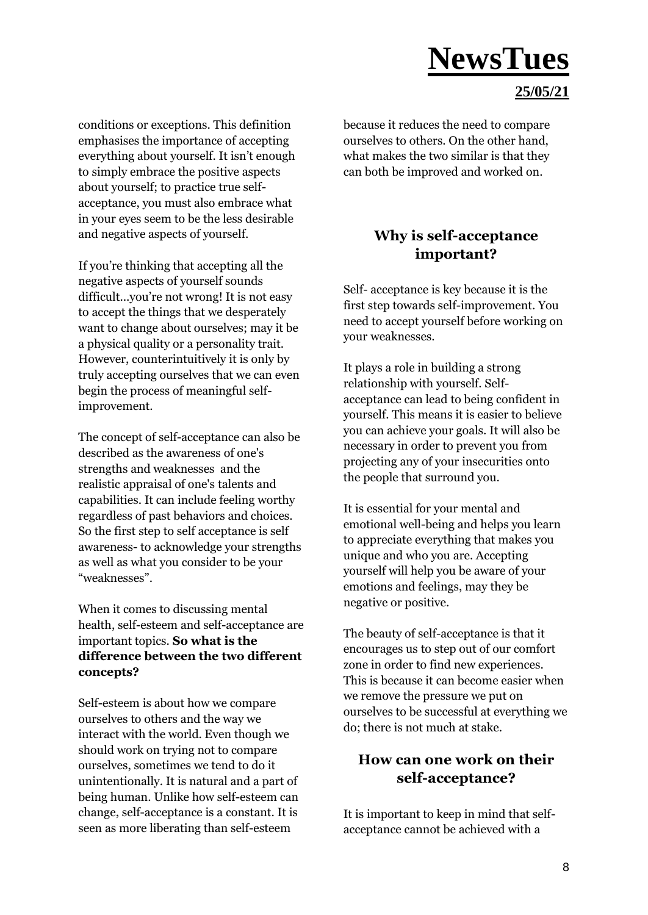#### **25/05/21**

conditions or exceptions. This definition emphasises the importance of accepting everything about yourself. It isn't enough to simply embrace the positive aspects about yourself; to practice true selfacceptance, you must also embrace what in your eyes seem to be the less desirable and negative aspects of yourself.

If you're thinking that accepting all the negative aspects of yourself sounds difficult...you're not wrong! It is not easy to accept the things that we desperately want to change about ourselves; may it be a physical quality or a personality trait. However, counterintuitively it is only by truly accepting ourselves that we can even begin the process of meaningful selfimprovement.

The concept of self-acceptance can also be described as the awareness of one's strengths and weaknesses and the realistic appraisal of one's talents and capabilities. It can include feeling worthy regardless of past behaviors and choices. So the first step to self acceptance is self awareness- to acknowledge your strengths as well as what you consider to be your "weaknesses".

When it comes to discussing mental health, self-esteem and self-acceptance are important topics. **So what is the difference between the two different concepts?**

Self-esteem is about how we compare ourselves to others and the way we interact with the world. Even though we should work on trying not to compare ourselves, sometimes we tend to do it unintentionally. It is natural and a part of being human. Unlike how self-esteem can change, self-acceptance is a constant. It is seen as more liberating than self-esteem

because it reduces the need to compare ourselves to others. On the other hand, what makes the two similar is that they can both be improved and worked on.

#### **Why is self-acceptance important?**

Self- acceptance is key because it is the first step towards self-improvement. You need to accept yourself before working on your weaknesses.

It plays a role in building a strong relationship with yourself. Selfacceptance can lead to being confident in yourself. This means it is easier to believe you can achieve your goals. It will also be necessary in order to prevent you from projecting any of your insecurities onto the people that surround you.

It is essential for your mental and emotional well-being and helps you learn to appreciate everything that makes you unique and who you are. Accepting yourself will help you be aware of your emotions and feelings, may they be negative or positive.

The beauty of self-acceptance is that it encourages us to step out of our comfort zone in order to find new experiences. This is because it can become easier when we remove the pressure we put on ourselves to be successful at everything we do; there is not much at stake.

#### **How can one work on their self-acceptance?**

It is important to keep in mind that selfacceptance cannot be achieved with a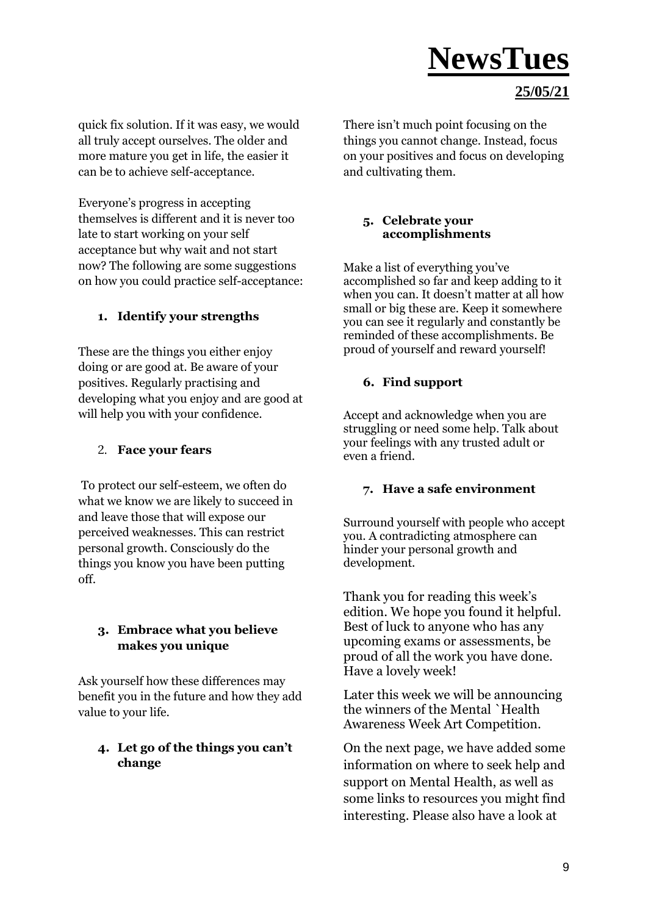#### **25/05/21**

quick fix solution. If it was easy, we would all truly accept ourselves. The older and more mature you get in life, the easier it can be to achieve self-acceptance.

Everyone's progress in accepting themselves is different and it is never too late to start working on your self acceptance but why wait and not start now? The following are some suggestions on how you could practice self-acceptance:

#### **1. Identify your strengths**

These are the things you either enjoy doing or are good at. Be aware of your positives. Regularly practising and developing what you enjoy and are good at will help you with your confidence.

#### 2. **Face your fears**

To protect our self-esteem, we often do what we know we are likely to succeed in and leave those that will expose our perceived weaknesses. This can restrict personal growth. Consciously do the things you know you have been putting off.

#### **3. Embrace what you believe makes you unique**

Ask yourself how these differences may benefit you in the future and how they add value to your life.

#### **4. Let go of the things you can't change**

There isn't much point focusing on the things you cannot change. Instead, focus on your positives and focus on developing and cultivating them.

#### **5. Celebrate your accomplishments**

Make a list of everything you've accomplished so far and keep adding to it when you can. It doesn't matter at all how small or big these are. Keep it somewhere you can see it regularly and constantly be reminded of these accomplishments. Be proud of yourself and reward yourself!

#### **6. Find support**

Accept and acknowledge when you are struggling or need some help. Talk about your feelings with any trusted adult or even a friend.

#### **7. Have a safe environment**

Surround yourself with people who accept you. A contradicting atmosphere can hinder your personal growth and development.

Thank you for reading this week's edition. We hope you found it helpful. Best of luck to anyone who has any upcoming exams or assessments, be proud of all the work you have done. Have a lovely week!

Later this week we will be announcing the winners of the Mental `Health Awareness Week Art Competition.

On the next page, we have added some information on where to seek help and support on Mental Health, as well as some links to resources you might find interesting. Please also have a look at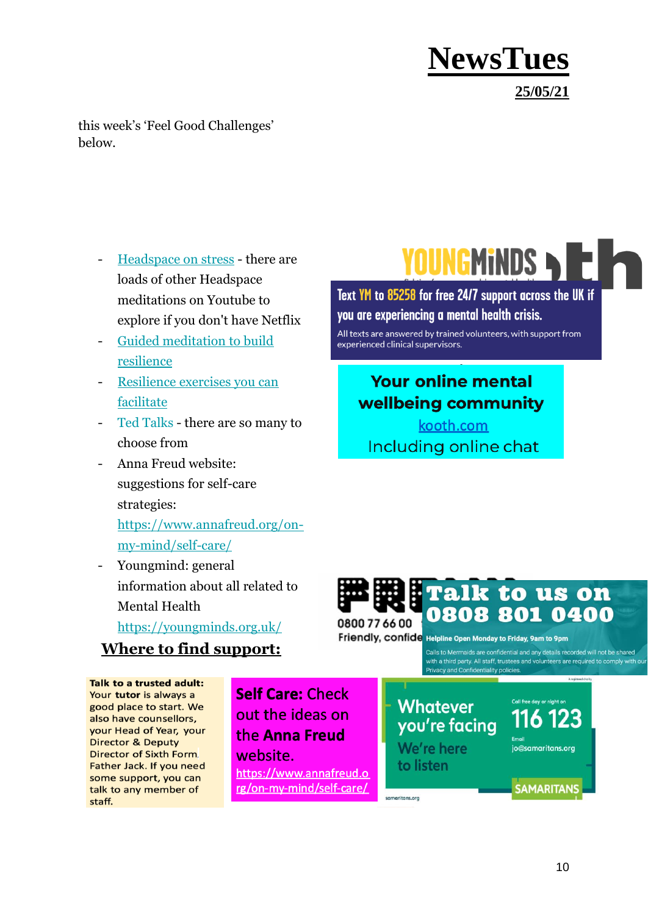**NewsTues 25/05/21**

this week's 'Feel Good Challenges' below.

- [Headspace on stress](https://www.youtube.com/watch?v=sG7DBA-mgFY) there are loads of other Headspace meditations on Youtube to explore if you don't have Netflix
- [Guided meditation to build](https://www.mindful.org/allow-the-storm-to-pass-a-guided-meditation-for-resilience/)  [resilience](https://www.mindful.org/allow-the-storm-to-pass-a-guided-meditation-for-resilience/)
- [Resilience exercises you can](http://www.brighterfutureslondon.co.uk/wellbeingtoolkit/resilience/)  [facilitate](http://www.brighterfutureslondon.co.uk/wellbeingtoolkit/resilience/)
- [Ted Talks](https://www.ted.com/talks) there are so many to choose from
- Anna Freud website: suggestions for self-care strategies[:](https://www.annafreud.org/on-my-mind/self-care/)

[https://www.annafreud.org/on](https://www.annafreud.org/on-my-mind/self-care/)[my-mind/self-care/](https://www.annafreud.org/on-my-mind/self-care/)

Youngmind: general information about all related to Mental Health

<https://youngminds.org.uk/>

#### **Where to find support:**

Talk to a trusted adult: Your tutor is always a good place to start. We also have counsellors, your Head of Year, your **Director & Deputy Director of Sixth Form.** Father Jack. If you need some support, you can talk to any member of staff.

**Self Care: Check** out the ideas on the Anna Freud website. https://www.annafreud.o rg/on-my-mind/self-care/

YOUNGMINDS > E

Text YM to 85258 for free 24/7 support across the UK if you are experiencing a mental health crisis.

All texts are answered by trained volunteers, with support from experienced clinical supervisors.

### **Your online mental** wellbeing community

kooth.com Including online chat



Friendly, confide Helpline Open Monday to Friday, 9am to 9pm

samaritans.org

Calls to Mermaids are confidential and any details recorded will not be shared with a third party. All staff, trustees and volunteers are required to comply with our Privacy and Confidentiality policies.